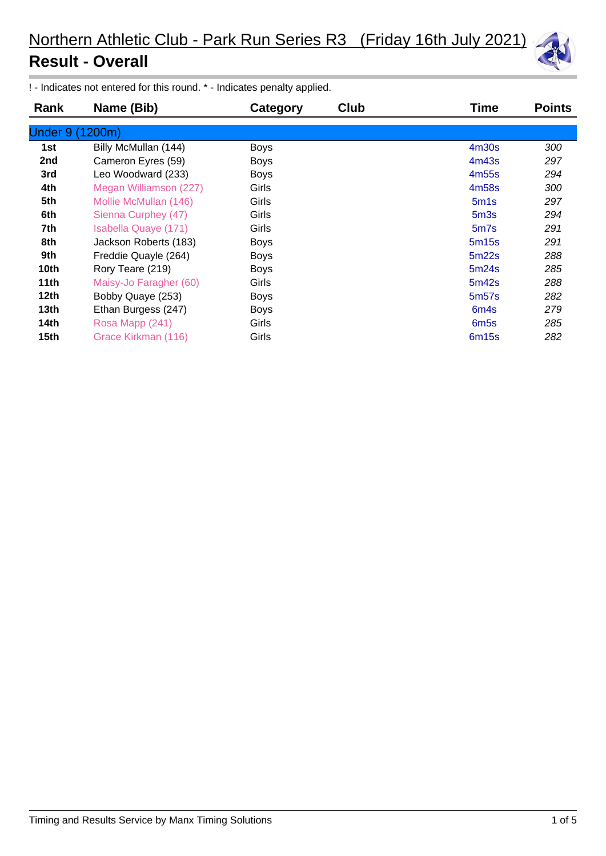## Northern Athletic Club - Park Run Series R3 (Friday 16th July 2021) **Result - Overall**



! - Indicates not entered for this round. \* - Indicates penalty applied.

| Rank            | Name (Bib)                  | Category    | <b>Club</b> | Time              | <b>Points</b> |
|-----------------|-----------------------------|-------------|-------------|-------------------|---------------|
| Under 9 (1200m) |                             |             |             |                   |               |
| 1st             | Billy McMullan (144)        | <b>Boys</b> |             | 4 <sub>m30s</sub> | 300           |
| 2nd             | Cameron Eyres (59)          | <b>Boys</b> |             | 4m43s             | 297           |
| 3rd             | Leo Woodward (233)          | <b>Boys</b> |             | 4m55s             | 294           |
| 4th             | Megan Williamson (227)      | Girls       |             | 4m58s             | 300           |
| 5th             | Mollie McMullan (146)       | Girls       |             | 5 <sub>m</sub> 1s | 297           |
| 6th             | Sienna Curphey (47)         | Girls       |             | 5 <sub>m</sub> 3s | 294           |
| 7th             | <b>Isabella Quaye (171)</b> | Girls       |             | 5m7s              | 291           |
| 8th             | Jackson Roberts (183)       | <b>Boys</b> |             | 5m15s             | 291           |
| 9th             | Freddie Quayle (264)        | <b>Boys</b> |             | 5m22s             | 288           |
| 10th            | Rory Teare (219)            | <b>Boys</b> |             | 5m24s             | 285           |
| 11th            | Maisy-Jo Faragher (60)      | Girls       |             | 5m42s             | 288           |
| 12th            | Bobby Quaye (253)           | <b>Boys</b> |             | 5m <sub>57s</sub> | 282           |
| 13th            | Ethan Burgess (247)         | <b>Boys</b> |             | 6 <sub>m</sub> 4s | 279           |
| 14th            | Rosa Mapp (241)             | Girls       |             | 6 <sub>m</sub> 5s | 285           |
| 15th            | Grace Kirkman (116)         | Girls       |             | 6m15s             | 282           |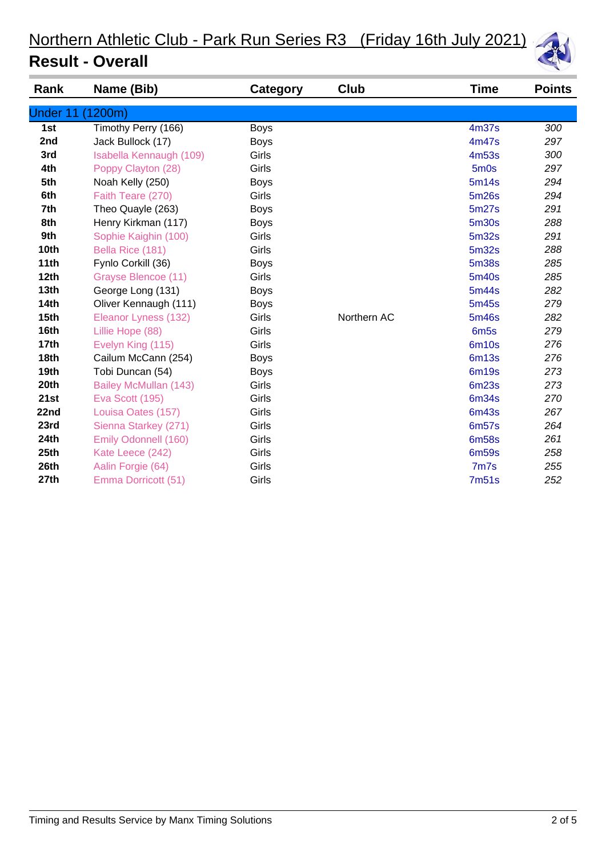

| Rank             | Name (Bib)              | Category    | Club        | Time              | <b>Points</b> |
|------------------|-------------------------|-------------|-------------|-------------------|---------------|
| <b>Under 11</b>  | 200m)                   |             |             |                   |               |
| 1st              | Timothy Perry (166)     | <b>Boys</b> |             | 4m37s             | 300           |
| 2nd              | Jack Bullock (17)       | <b>Boys</b> |             | 4m47s             | 297           |
| 3rd              | Isabella Kennaugh (109) | Girls       |             | 4m53s             | 300           |
| 4th              | Poppy Clayton (28)      | Girls       |             | 5m0s              | 297           |
| 5th              | Noah Kelly (250)        | <b>Boys</b> |             | 5m14s             | 294           |
| 6th              | Faith Teare (270)       | Girls       |             | <b>5m26s</b>      | 294           |
| 7th              | Theo Quayle (263)       | <b>Boys</b> |             | 5m27s             | 291           |
| 8th              | Henry Kirkman (117)     | <b>Boys</b> |             | <b>5m30s</b>      | 288           |
| 9th              | Sophie Kaighin (100)    | Girls       |             | 5m32s             | 291           |
| 10th             | Bella Rice (181)        | Girls       |             | 5m32s             | 288           |
| 11th             | Fynlo Corkill (36)      | <b>Boys</b> |             | <b>5m38s</b>      | 285           |
| 12th             | Grayse Blencoe (11)     | Girls       |             | 5m40s             | 285           |
| 13 <sub>th</sub> | George Long (131)       | <b>Boys</b> |             | 5m44s             | 282           |
| 14th             | Oliver Kennaugh (111)   | <b>Boys</b> |             | 5m45s             | 279           |
| 15 <sub>th</sub> | Eleanor Lyness (132)    | Girls       | Northern AC | 5m46s             | 282           |
| 16th             | Lillie Hope (88)        | Girls       |             | 6 <sub>m</sub> 5s | 279           |
| 17 <sub>th</sub> | Evelyn King (115)       | Girls       |             | 6m10s             | 276           |
| 18th             | Cailum McCann (254)     | <b>Boys</b> |             | <b>6m13s</b>      | 276           |
| 19 <sub>th</sub> | Tobi Duncan (54)        | <b>Boys</b> |             | 6m19s             | 273           |
| 20th             | Bailey McMullan (143)   | Girls       |             | <b>6m23s</b>      | 273           |
| 21st             | Eva Scott (195)         | Girls       |             | <b>6m34s</b>      | 270           |
| 22nd             | Louisa Oates (157)      | Girls       |             | <b>6m43s</b>      | 267           |
| 23rd             | Sienna Starkey (271)    | Girls       |             | 6m57s             | 264           |
| 24th             | Emily Odonnell (160)    | Girls       |             | <b>6m58s</b>      | 261           |
| 25th             | Kate Leece (242)        | Girls       |             | 6m59s             | 258           |
| 26th             | Aalin Forgie (64)       | Girls       |             | 7m7s              | 255           |
| 27th             | Emma Dorricott (51)     | Girls       |             | 7 <sub>m51s</sub> | 252           |
|                  |                         |             |             |                   |               |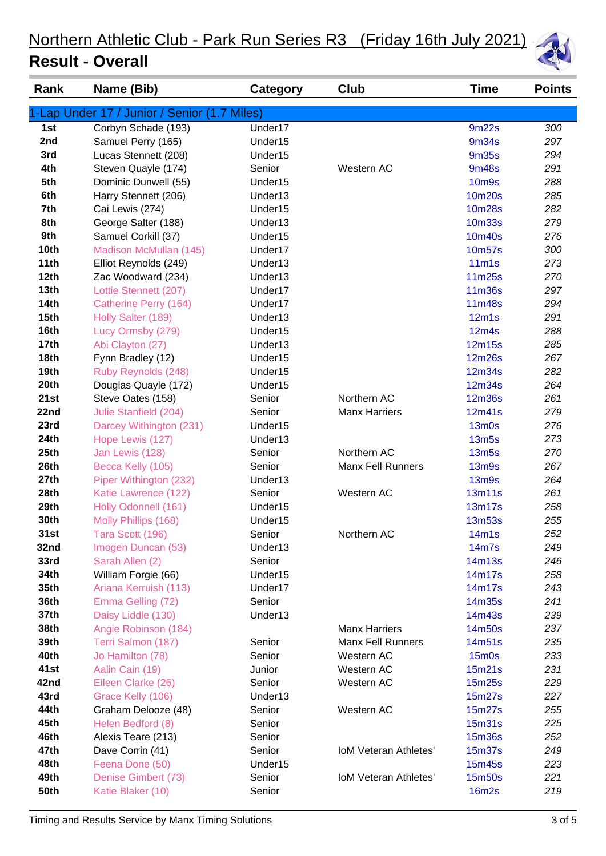# Northern Athletic Club - Park Run Series R3 (Friday 16th July 2021)

| Rank             | Name (Bib)                                   | <b>Category</b> | Club                         | Time              | <b>Points</b> |
|------------------|----------------------------------------------|-----------------|------------------------------|-------------------|---------------|
|                  | 1-Lap Under 17 / Junior / Senior (1.7 Miles) |                 |                              |                   |               |
| 1st              | Corbyn Schade (193)                          | Under17         |                              | 9m22s             | 300           |
| 2nd              | Samuel Perry (165)                           | Under15         |                              | 9m34s             | 297           |
| 3rd              | Lucas Stennett (208)                         | Under15         |                              | 9m35s             | 294           |
| 4th              | Steven Quayle (174)                          | Senior          | Western AC                   | 9m48s             | 291           |
| 5th              | Dominic Dunwell (55)                         | Under15         |                              | <b>10m9s</b>      | 288           |
| 6th              | Harry Stennett (206)                         | Under13         |                              | 10m20s            | 285           |
| 7th              | Cai Lewis (274)                              | Under15         |                              | 10m28s            | 282           |
| 8th              | George Salter (188)                          | Under13         |                              | 10m33s            | 279           |
| 9th              | Samuel Corkill (37)                          | Under15         |                              | 10m40s            | 276           |
| 10th             | Madison McMullan (145)                       | Under17         |                              | 10m57s            | 300           |
| 11th             | Elliot Reynolds (249)                        | Under13         |                              | 11 <sub>m1s</sub> | 273           |
| 12th             | Zac Woodward (234)                           | Under13         |                              | 11m25s            | 270           |
| 13th             | Lottie Stennett (207)                        | Under17         |                              | 11m36s            | 297           |
| <b>14th</b>      | <b>Catherine Perry (164)</b>                 | Under17         |                              | 11m48s            | 294           |
| 15 <sub>th</sub> | Holly Salter (189)                           | Under13         |                              | 12m1s             | 291           |
| 16th             | Lucy Ormsby (279)                            | Under15         |                              | 12m4s             | 288           |
| 17 <sub>th</sub> | Abi Clayton (27)                             | Under13         |                              | 12m15s            | 285           |
| 18th             | Fynn Bradley (12)                            | Under15         |                              | 12m26s            | 267           |
| 19th             | Ruby Reynolds (248)                          | Under15         |                              | 12m34s            | 282           |
| 20th             | Douglas Quayle (172)                         | Under15         |                              | 12m34s            | 264           |
| 21st             | Steve Oates (158)                            | Senior          | Northern AC                  | <b>12m36s</b>     | 261           |
| 22nd             | Julie Stanfield (204)                        | Senior          | <b>Manx Harriers</b>         | 12m41s            | 279           |
| 23rd             | Darcey Withington (231)                      | Under15         |                              | $13m$ Os          | 276           |
| 24th             | Hope Lewis (127)                             | Under13         |                              | <b>13m5s</b>      | 273           |
| 25th             | Jan Lewis (128)                              | Senior          | Northern AC                  | <b>13m5s</b>      | 270           |
| 26th             | Becca Kelly (105)                            | Senior          | <b>Manx Fell Runners</b>     | <b>13m9s</b>      | 267           |
| 27th             | Piper Withington (232)                       | Under13         |                              | <b>13m9s</b>      | 264           |
| 28th             | Katie Lawrence (122)                         | Senior          | Western AC                   | 13m11s            | 261           |
| 29th             | Holly Odonnell (161)                         | Under15         |                              | 13m17s            | 258           |
| 30th             | Molly Phillips (168)                         | Under15         |                              | 13m53s            | 255           |
| 31st             | Tara Scott (196)                             | Senior          | Northern AC                  | 14m1s             | 252           |
| 32nd             | Imogen Duncan (53)                           | Under13         |                              | 14m7s             | 249           |
| 33rd             | Sarah Allen (2)                              | Senior          |                              | 14m13s            | 246           |
| 34th             | William Forgie (66)                          | Under15         |                              | 14m17s            | 258           |
| 35th             | Ariana Kerruish (113)                        | Under17         |                              | 14m17s            | 243           |
| 36th             | Emma Gelling (72)                            | Senior          |                              | 14m35s            | 241           |
| 37th             | Daisy Liddle (130)                           | Under13         |                              | 14m43s            | 239           |
| 38th             | Angie Robinson (184)                         |                 | <b>Manx Harriers</b>         | 14m50s            | 237           |
| 39th             | Terri Salmon (187)                           | Senior          | <b>Manx Fell Runners</b>     | 14m51s            | 235           |
| 40th             | Jo Hamilton (78)                             | Senior          | Western AC                   | $15m$ Os          | 233           |
| 41st             | Aalin Cain (19)                              | Junior          | Western AC                   | 15m21s            | 231           |
| 42nd             | Eileen Clarke (26)                           | Senior          | Western AC                   | 15m25s            | 229           |
| 43rd             | Grace Kelly (106)                            | Under13         |                              | 15m27s            | 227           |
| 44th             | Graham Delooze (48)                          | Senior          | Western AC                   | 15m27s            | 255           |
| 45th             | Helen Bedford (8)                            | Senior          |                              | 15m31s            | 225           |
| 46th             | Alexis Teare (213)                           | Senior          |                              | 15m36s            | 252           |
| 47th             | Dave Corrin (41)                             | Senior          | <b>IoM Veteran Athletes'</b> | 15m37s            | 249           |
| 48th             | Feena Done (50)                              | Under15         |                              | 15m45s            | 223           |
| 49th             | Denise Gimbert (73)                          | Senior          | IoM Veteran Athletes'        | 15m50s            | 221           |
| <b>50th</b>      | Katie Blaker (10)                            | Senior          |                              | 16m2s             | 219           |

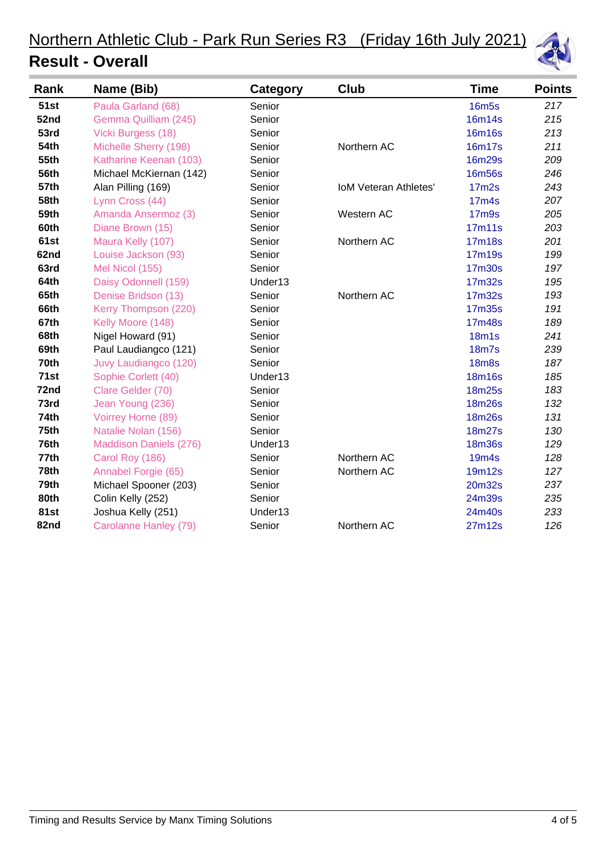# Northern Athletic Club - Park Run Series R3 (Friday 16th July 2021)



| Rank        | Name (Bib)                    | <b>Category</b> | Club                         | <b>Time</b>       | <b>Points</b> |
|-------------|-------------------------------|-----------------|------------------------------|-------------------|---------------|
| <b>51st</b> | Paula Garland (68)            | Senior          |                              | <b>16m5s</b>      | 217           |
| 52nd        | Gemma Quilliam (245)          | Senior          |                              | <b>16m14s</b>     | 215           |
| 53rd        | Vicki Burgess (18)            | Senior          |                              | <b>16m16s</b>     | 213           |
| <b>54th</b> | Michelle Sherry (198)         | Senior          | Northern AC                  | 16m17s            | 211           |
| 55th        | Katharine Keenan (103)        | Senior          |                              | 16m29s            | 209           |
| 56th        | Michael McKiernan (142)       | Senior          |                              | 16m56s            | 246           |
| 57th        | Alan Pilling (169)            | Senior          | <b>IoM Veteran Athletes'</b> | 17 <sub>m2s</sub> | 243           |
| 58th        | Lynn Cross (44)               | Senior          |                              | 17 <sub>m4s</sub> | 207           |
| <b>59th</b> | Amanda Ansermoz (3)           | Senior          | Western AC                   | <b>17m9s</b>      | 205           |
| 60th        | Diane Brown (15)              | Senior          |                              | 17m11s            | 203           |
| 61st        | Maura Kelly (107)             | Senior          | Northern AC                  | 17m18s            | 201           |
| 62nd        | Louise Jackson (93)           | Senior          |                              | 17m19s            | 199           |
| 63rd        | Mel Nicol (155)               | Senior          |                              | 17m30s            | 197           |
| 64th        | Daisy Odonnell (159)          | Under13         |                              | 17m32s            | 195           |
| 65th        | Denise Bridson (13)           | Senior          | Northern AC                  | 17m32s            | 193           |
| 66th        | Kerry Thompson (220)          | Senior          |                              | <b>17m35s</b>     | 191           |
| 67th        | Kelly Moore (148)             | Senior          |                              | 17m48s            | 189           |
| 68th        | Nigel Howard (91)             | Senior          |                              | <b>18m1s</b>      | 241           |
| 69th        | Paul Laudiangco (121)         | Senior          |                              | <b>18m7s</b>      | 239           |
| 70th        | Juvy Laudiangco (120)         | Senior          |                              | <b>18m8s</b>      | 187           |
| 71st        | Sophie Corlett (40)           | Under13         |                              | <b>18m16s</b>     | 185           |
| 72nd        | Clare Gelder (70)             | Senior          |                              | <b>18m25s</b>     | 183           |
| 73rd        | Jean Young (236)              | Senior          |                              | <b>18m26s</b>     | 132           |
| <b>74th</b> | Voirrey Horne (89)            | Senior          |                              | <b>18m26s</b>     | 131           |
| 75th        | Natalie Nolan (156)           | Senior          |                              | 18m27s            | 130           |
| 76th        | <b>Maddison Daniels (276)</b> | Under13         |                              | <b>18m36s</b>     | 129           |
| 77th        | Carol Roy (186)               | Senior          | Northern AC                  | <b>19m4s</b>      | 128           |
| 78th        | Annabel Forgie (65)           | Senior          | Northern AC                  | 19m12s            | 127           |
| 79th        | Michael Spooner (203)         | Senior          |                              | 20m32s            | 237           |
| 80th        | Colin Kelly (252)             | Senior          |                              | 24m39s            | 235           |
| <b>81st</b> | Joshua Kelly (251)            | Under13         |                              | 24m40s            | 233           |
| 82nd        | Carolanne Hanley (79)         | Senior          | Northern AC                  | 27m12s            | 126           |